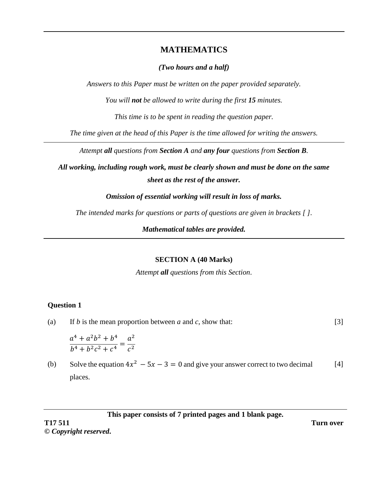# **MATHEMATICS**

# *(Two hours and a half)*

*Answers to this Paper must be written on the paper provided separately.*

*You will not be allowed to write during the first 15 minutes.*

*This time is to be spent in reading the question paper.*

*The time given at the head of this Paper is the time allowed for writing the answers.*

*Attempt all questions from Section A and any four questions from Section B.* 

*All working, including rough work, must be clearly shown and must be done on the same sheet as the rest of the answer.* 

*Omission of essential working will result in loss of marks.*

*The intended marks for questions or parts of questions are given in brackets [ ].*

*Mathematical tables are provided.*

## **SECTION A (40 Marks)**

*Attempt all questions from this Section*.

# **Question 1**

(a) If *b* is the mean proportion between *a* and *c*, show that: [3]

$$
\frac{a^4 + a^2b^2 + b^4}{b^4 + b^2c^2 + c^4} = \frac{a^2}{c^2}
$$

(b) Solve the equation  $4x^2 - 5x - 3 = 0$  and give your answer correct to two decimal places. [4]

**This paper consists of 7 printed pages and 1 blank page.**

**T17 511 Turn over ©** *Copyright reserved***.**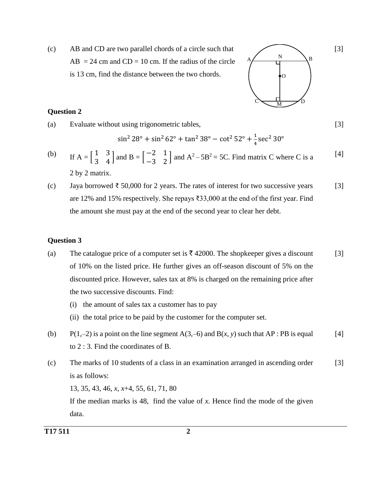(c) AB and CD are two parallel chords of a circle such that  $AB = 24$  cm and  $CD = 10$  cm. If the radius of the circle is 13 cm, find the distance between the two chords.

# $A \sim \qquad \qquad \text{N} \sim \text{B}$ N  $C \setminus M$  D O

[3]

[3]

# **Question 2**

(a) Evaluate without using trigonometric tables,

$$
\sin^2 28^\circ + \sin^2 62^\circ + \tan^2 38^\circ - \cot^2 52^\circ + \frac{1}{4} \sec^2 30^\circ
$$

(b) If 
$$
A = \begin{bmatrix} 1 & 3 \\ 3 & 4 \end{bmatrix}
$$
 and  $B = \begin{bmatrix} -2 & 1 \\ -3 & 2 \end{bmatrix}$  and  $A^2 - 5B^2 = 5C$ . Find matrix C where C is a  
2 by 2 matrix. [4]

(c) Jaya borrowed  $\bar{\tau}$  50,000 for 2 years. The rates of interest for two successive years are 12% and 15% respectively. She repays ₹33,000 at the end of the first year. Find the amount she must pay at the end of the second year to clear her debt. [3]

## **Question 3**

- (a) The catalogue price of a computer set is  $\bar{\tau}$  42000. The shopkeeper gives a discount of 10% on the listed price. He further gives an off-season discount of 5% on the discounted price. However, sales tax at 8% is charged on the remaining price after the two successive discounts. Find: [3]
	- (i) the amount of sales tax a customer has to pay
	- (ii) the total price to be paid by the customer for the computer set.
- (b) P(1,–2) is a point on the line segment  $A(3,-6)$  and  $B(x, y)$  such that  $AP : PB$  is equal to 2 : 3. Find the coordinates of B. [4]
- (c) The marks of 10 students of a class in an examination arranged in ascending order is as follows: [3]

13, 35, 43, 46, *x*, *x*+4, 55, 61, 71, 80

If the median marks is  $48$ , find the value of  $x$ . Hence find the mode of the given data.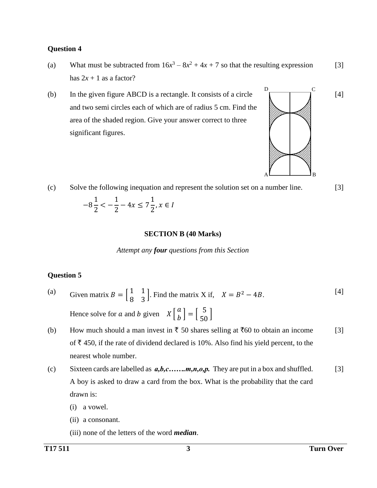- (a) What must be subtracted from  $16x^3 8x^2 + 4x + 7$  so that the resulting expression has  $2x + 1$  as a factor? [3]
- (b) In the given figure ABCD is a rectangle. It consists of a circle and two semi circles each of which are of radius 5 cm. Find the area of the shaded region. Give your answer correct to three significant figures.



(c) Solve the following inequation and represent the solution set on a number line. [3]

−8 1 2  $\lt$   $-$ 1 2  $-4x \leq 7$ 1 2 ,  $x \in I$ 

#### **SECTION B (40 Marks)**

*Attempt any four questions from this Section*

## **Question 5**

- (a) Given matrix  $B = \begin{bmatrix} 1 & 1 \\ 0 & 2 \end{bmatrix}$  $\begin{bmatrix} 1 & 1 \\ 8 & 3 \end{bmatrix}$ . Find the matrix X if,  $X = B^2 - 4B$ . Hence solve for a and b given  $X \begin{bmatrix} a \\ b \end{bmatrix}$  $\begin{bmatrix} a \\ b \end{bmatrix} = \begin{bmatrix} 5 \\ 50 \end{bmatrix}$ [4]
- (b) How much should a man invest in  $\bar{\tau}$  50 shares selling at  $\bar{\tau}$ 60 to obtain an income of  $\bar{\tau}$  450, if the rate of dividend declared is 10%. Also find his yield percent, to the nearest whole number. [3]
- (c) Sixteen cards are labelled as *a,b,c…….m,n,o,p.* They are put in a box and shuffled. A boy is asked to draw a card from the box. What is the probability that the card drawn is: [3]
	- (i) a vowel.
	- (ii) a consonant.
	- (iii) none of the letters of the word *median*.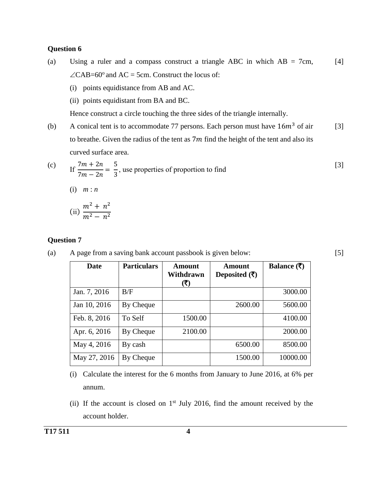- (a) Using a ruler and a compass construct a triangle ABC in which  $AB = 7cm$ ,  $\angle$ CAB=60° and AC = 5cm. Construct the locus of:  $[4]$ 
	- (i) points equidistance from AB and AC.
	- (ii) points equidistant from BA and BC.

Hence construct a circle touching the three sides of the triangle internally.

(b) A conical tent is to accommodate 77 persons. Each person must have  $16m<sup>3</sup>$  of air to breathe. Given the radius of the tent as  $7m$  find the height of the tent and also its curved surface area. [3]

(c) If 
$$
\frac{7m + 2n}{7m - 2n} = \frac{5}{3}
$$
, use properties of proportion to find

[5]

$$
(1) \quad m:n
$$

(ii) 
$$
\frac{m^2 + n^2}{m^2 - n^2}
$$

## **Question 7**

(a) A page from a saving bank account passbook is given below:

| Date         | <b>Particulars</b> | Amount<br>Withdrawn<br>(₹) | Amount<br>Deposited $(\overline{\tau})$ | Balance $($ ₹ $)$ |
|--------------|--------------------|----------------------------|-----------------------------------------|-------------------|
| Jan. 7, 2016 | B/F                |                            |                                         | 3000.00           |
| Jan 10, 2016 | By Cheque          |                            | 2600.00                                 | 5600.00           |
| Feb. 8, 2016 | To Self            | 1500.00                    |                                         | 4100.00           |
| Apr. 6, 2016 | By Cheque          | 2100.00                    |                                         | 2000.00           |
| May 4, 2016  | By cash            |                            | 6500.00                                 | 8500.00           |
| May 27, 2016 | By Cheque          |                            | 1500.00                                 | 10000.00          |

- (i) Calculate the interest for the 6 months from January to June 2016, at 6% per annum.
- (ii) If the account is closed on  $1<sup>st</sup>$  July 2016, find the amount received by the account holder.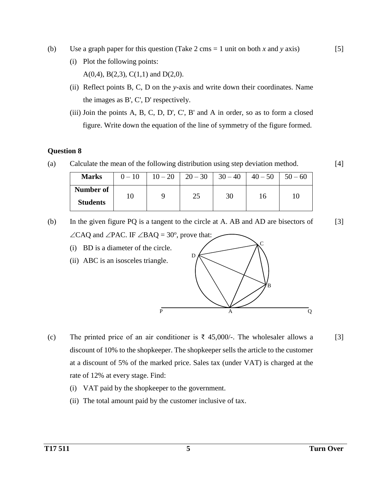- (b) Use a graph paper for this question (Take 2 cms = 1 unit on both *x* and *y* axis)
	- (i) Plot the following points: A(0,4), B(2,3), C(1,1) and D(2,0).
	- (ii) Reflect points B, C, D on the *y*-axis and write down their coordinates. Name the images as B', C', D' respectively.
	- (iii) Join the points A, B, C, D, D', C', B' and A in order, so as to form a closed figure. Write down the equation of the line of symmetry of the figure formed.

(a) Calculate the mean of the following distribution using step deviation method.

| <b>Marks</b>                 | $0 - 10$ |    | $10-20$   $20-30$   $30-40$ | $40 - 50$ | $50 - 60$ |
|------------------------------|----------|----|-----------------------------|-----------|-----------|
| Number of<br><b>Students</b> |          | 25 | 30                          |           |           |

(b) In the given figure PQ is a tangent to the circle at A. AB and AD are bisectors of  $\angle$ CAQ and  $\angle$ PAC. IF  $\angle$ BAQ = 30°, prove that: [3]

- (i) BD is a diameter of the circle. (ii) ABC is an isosceles triangle. D C B
- (c) The printed price of an air conditioner is  $\bar{\tau}$  45,000/-. The wholesaler allows a discount of 10% to the shopkeeper. The shopkeeper sells the article to the customer at a discount of 5% of the marked price. Sales tax (under VAT) is charged at the rate of 12% at every stage. Find:
	- (i) VAT paid by the shopkeeper to the government.
	- (ii) The total amount paid by the customer inclusive of tax.

P A Q

[3]

[4]

[5]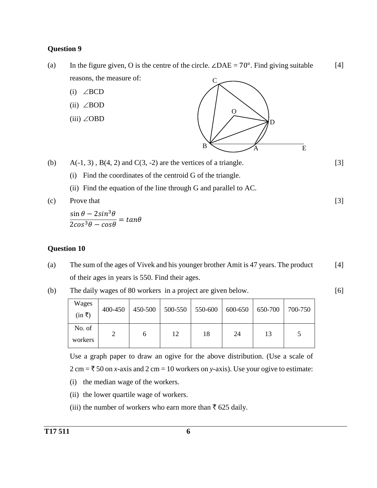- (a) In the figure given, O is the centre of the circle.  $\angle DAE = 70^\circ$ . Find giving suitable reasons, the measure of: [4]
	- (i)  $\angle BCD$
	- (ii)  $\angle$ BOD
	- (iii)  $\angle$ OBD



(b)  $A(-1, 3)$ ,  $B(4, 2)$  and  $C(3, -2)$  are the vertices of a triangle.

- (i) Find the coordinates of the centroid G of the triangle.
	- (ii) Find the equation of the line through G and parallel to AC.

(c) Prove that

 $\sin\theta - 2sin^3\theta$  $\frac{2\pi}{2\cos^3\theta - \cos\theta} = \tan\theta$ 

## **Question 10**

- (a) The sum of the ages of Vivek and his younger brother Amit is 47 years. The product of their ages in years is 550. Find their ages. [4]
- (b) The daily wages of 80 workers in a project are given below.

Wages  $(in \overline{\tau})$ 400-450 450-500 500-550 550-600 600-650 650-700 700-750 No. of workers 2 | 6 | 12 | 18 | 24 | 13 | 5

Use a graph paper to draw an ogive for the above distribution. (Use a scale of  $2 \text{ cm} = \frac{3}{50}$  on *x*-axis and  $2 \text{ cm} = 10$  workers on *y*-axis). Use your ogive to estimate:

- (i) the median wage of the workers.
- (ii) the lower quartile wage of workers.
- (iii) the number of workers who earn more than  $\bar{\tau}$  625 daily.

[6]

[3]

[3]